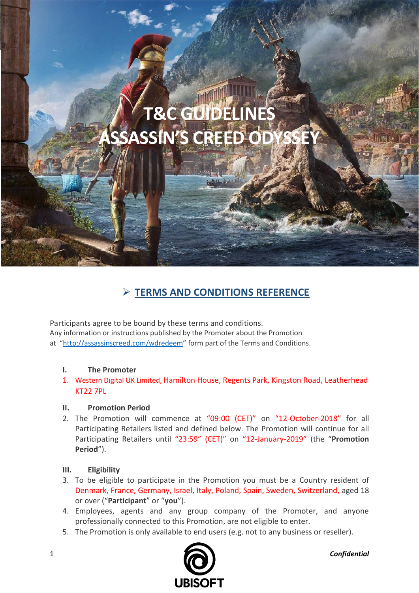# **T&C GUIDELIN ASSASSIN'S CREED**

## ➢ **TERMS AND CONDITIONS REFERENCE**

Participants agree to be bound by these terms and conditions. Any information or instructions published by the Promoter about the Promotion at "<http://assassinscreed.com/wdredeem>" form part of the Terms and Conditions.

#### **I. The Promoter**

1. Western Digital UK Limited, Hamilton House, Regents Park, Kingston Road, Leatherhead KT22 7PL

#### **II. Promotion Period**

2. The Promotion will commence at "09:00 (CET)" on "12-October-2018" for all Participating Retailers listed and defined below. The Promotion will continue for all Participating Retailers until "23:59" (CET)" on "12-January-2019" (the "**Promotion Period**").

#### **III. Eligibility**

- 3. To be eligible to participate in the Promotion you must be a Country resident of Denmark, France, Germany, Israel, Italy, Poland, Spain, Sweden, Switzerland, aged 18 or over ("**Participant**" or "**you**").
- 4. Employees, agents and any group company of the Promoter, and anyone professionally connected to this Promotion, are not eligible to enter.
- 5. The Promotion is only available to end users (e.g. not to any business or reseller).

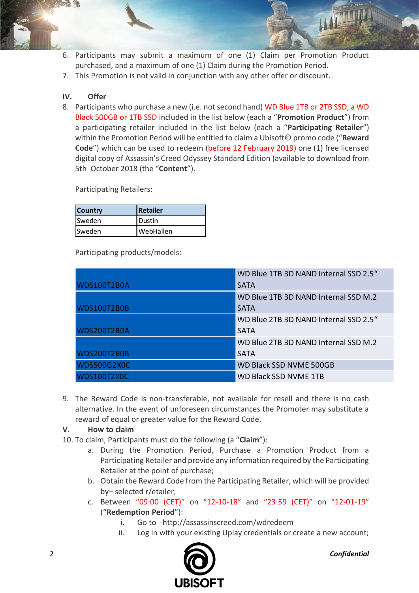- 6. Participants may submit a maximum of one (1) Claim per Promotion Product purchased, and a maximum of one (1) Claim during the Promotion Period.
- 7. This Promotion is not valid in conjunction with any other offer or discount.

### **IV. Offer**

8. Participants who purchase a new (i.e. not second hand) WD Blue 1TB or 2TB SSD, a WD Black 500GB or 1TB SSD included in the list below (each a "**Promotion Product**") from a participating retailer included in the list below (each a "**Participating Retailer**") within the Promotion Period will be entitled to claim a Ubisoft© promo code ("**Reward Code**") which can be used to redeem (before 12 February 2019) one (1) free licensed digital copy of Assassin's Creed Odyssey Standard Edition (available to download from 5th October 2018 (the "**Content**").

Participating Retailers:

| <b>Country</b> | Retailer        |
|----------------|-----------------|
| <b>Sweden</b>  | <b>I</b> Dustin |
| <b>Sweden</b>  | WebHallen       |

Participating products/models:

|                    | WD Blue 1TB 3D NAND Internal SSD 2.5" |
|--------------------|---------------------------------------|
| <b>WDS100T2B0A</b> | <b>SATA</b>                           |
|                    | WD Blue 1TB 3D NAND Internal SSD M.2  |
| <b>WDS100T2B0B</b> | <b>SATA</b>                           |
|                    | WD Blue 2TB 3D NAND Internal SSD 2.5" |
| <b>WDS200T2B0A</b> | <b>SATA</b>                           |
|                    | WD Blue 2TB 3D NAND Internal SSD M.2  |
| <b>WDS200T2B0B</b> | <b>SATA</b>                           |
| <b>WDS500G2X0C</b> | WD Black SSD NVME 500GB               |
| <b>WDS100T2X0C</b> | <b>WD Black SSD NVME 1TB</b>          |

9. The Reward Code is non-transferable, not available for resell and there is no cash alternative. In the event of unforeseen circumstances the Promoter may substitute a reward of equal or greater value for the Reward Code.

#### **V. How to claim**

- 10. To claim, Participants must do the following (a "**Claim**"):
	- a. During the Promotion Period, Purchase a Promotion Product from a Participating Retailer and provide any information required by the Participating Retailer at the point of purchase;
	- b. Obtain the Reward Code from the Participating Retailer, which will be provided by– selected r/etailer;
	- c. Between "09:00 (CET)" on "12-10-18" and "23:59 (CET)" on "12-01-19" ("**Redemption Period**"):
		- i. Go to -http://assassinscreed.com/wdredeem
		- ii. Log in with your existing Uplay credentials or create a new account;